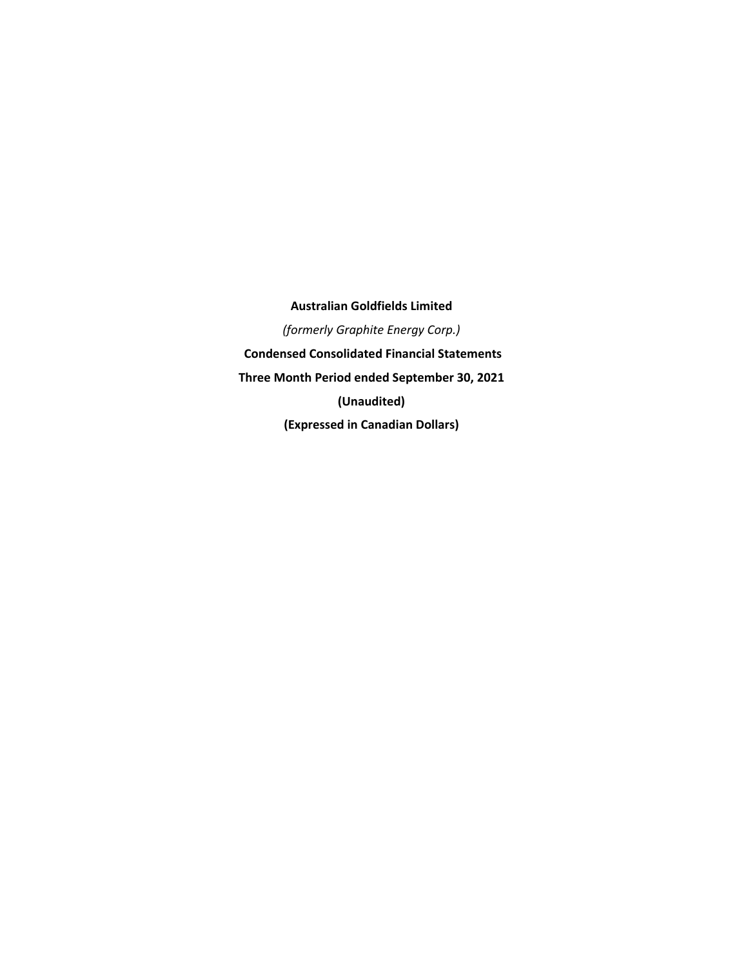**Australian Goldfields Limited**  *(formerly Graphite Energy Corp.)*   **Condensed Consolidated Financial Statements Three Month Period ended September 30, 2021 (Unaudited) (Expressed in Canadian Dollars)**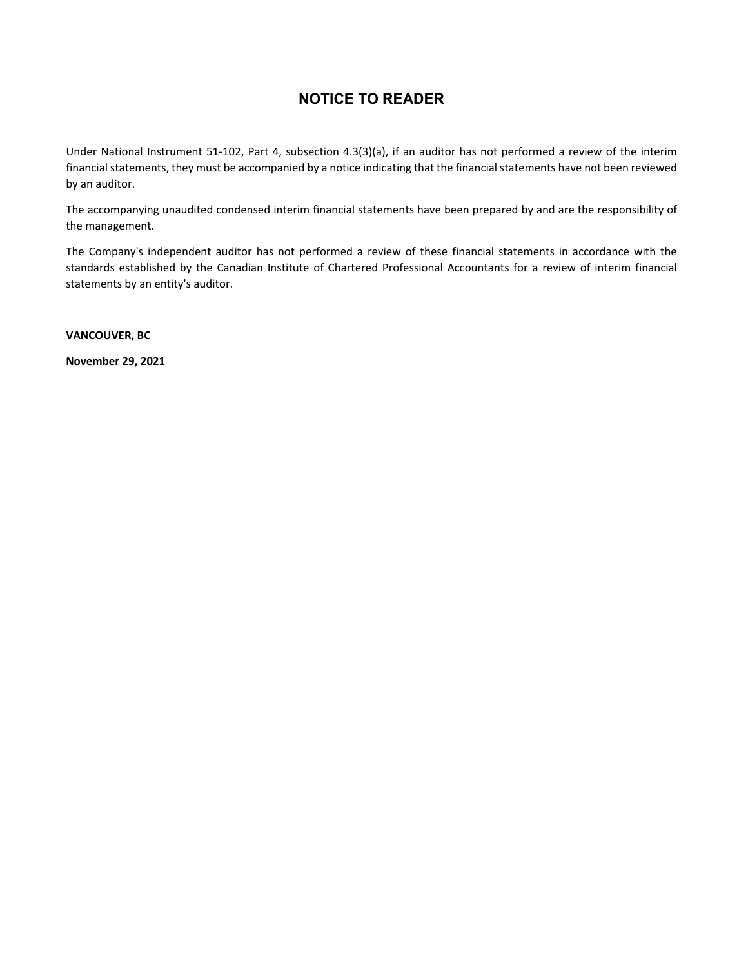# **NOTICE TO READER**

Under National Instrument 51‐102, Part 4, subsection 4.3(3)(a), if an auditor has not performed a review of the interim financial statements, they must be accompanied by a notice indicating that the financial statements have not been reviewed by an auditor.

The accompanying unaudited condensed interim financial statements have been prepared by and are the responsibility of the management.

The Company's independent auditor has not performed a review of these financial statements in accordance with the standards established by the Canadian Institute of Chartered Professional Accountants for a review of interim financial statements by an entity's auditor.

**VANCOUVER, BC** 

**November 29, 2021**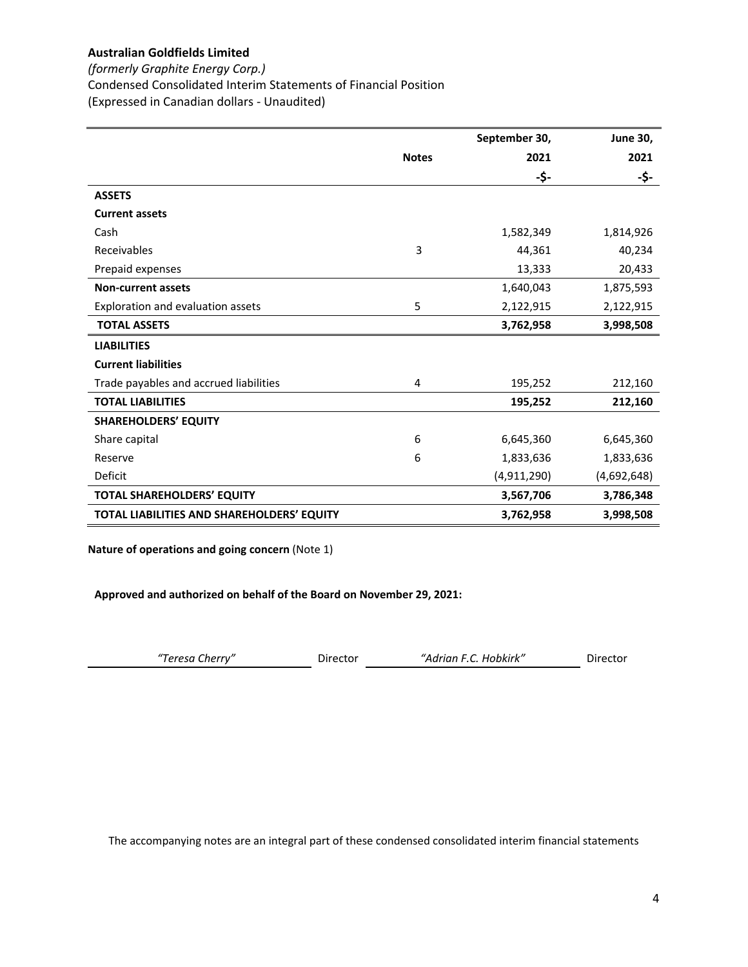*(formerly Graphite Energy Corp.)*

Condensed Consolidated Interim Statements of Financial Position

(Expressed in Canadian dollars ‐ Unaudited)

|                                            |              | September 30, | <b>June 30,</b> |
|--------------------------------------------|--------------|---------------|-----------------|
|                                            | <b>Notes</b> | 2021          | 2021            |
|                                            |              | -\$-          | -\$-            |
| <b>ASSETS</b>                              |              |               |                 |
| <b>Current assets</b>                      |              |               |                 |
| Cash                                       |              | 1,582,349     | 1,814,926       |
| Receivables                                | 3            | 44,361        | 40,234          |
| Prepaid expenses                           |              | 13,333        | 20,433          |
| <b>Non-current assets</b>                  |              | 1,640,043     | 1,875,593       |
| Exploration and evaluation assets          | 5            | 2,122,915     | 2,122,915       |
| <b>TOTAL ASSETS</b>                        |              | 3,762,958     | 3,998,508       |
| <b>LIABILITIES</b>                         |              |               |                 |
| <b>Current liabilities</b>                 |              |               |                 |
| Trade payables and accrued liabilities     | 4            | 195,252       | 212,160         |
| <b>TOTAL LIABILITIES</b>                   |              | 195,252       | 212,160         |
| <b>SHAREHOLDERS' EQUITY</b>                |              |               |                 |
| Share capital                              | 6            | 6,645,360     | 6,645,360       |
| Reserve                                    | 6            | 1,833,636     | 1,833,636       |
| Deficit                                    |              | (4,911,290)   | (4,692,648)     |
| <b>TOTAL SHAREHOLDERS' EQUITY</b>          |              | 3,567,706     | 3,786,348       |
| TOTAL LIABILITIES AND SHAREHOLDERS' EQUITY |              | 3,762,958     | 3,998,508       |

**Nature of operations and going concern** (Note 1)

**Approved and authorized on behalf of the Board on November 29, 2021:**

| "Adrian F.C. Hobkirk"<br>"Teresa Cherry"<br>Director | Director |
|------------------------------------------------------|----------|
|------------------------------------------------------|----------|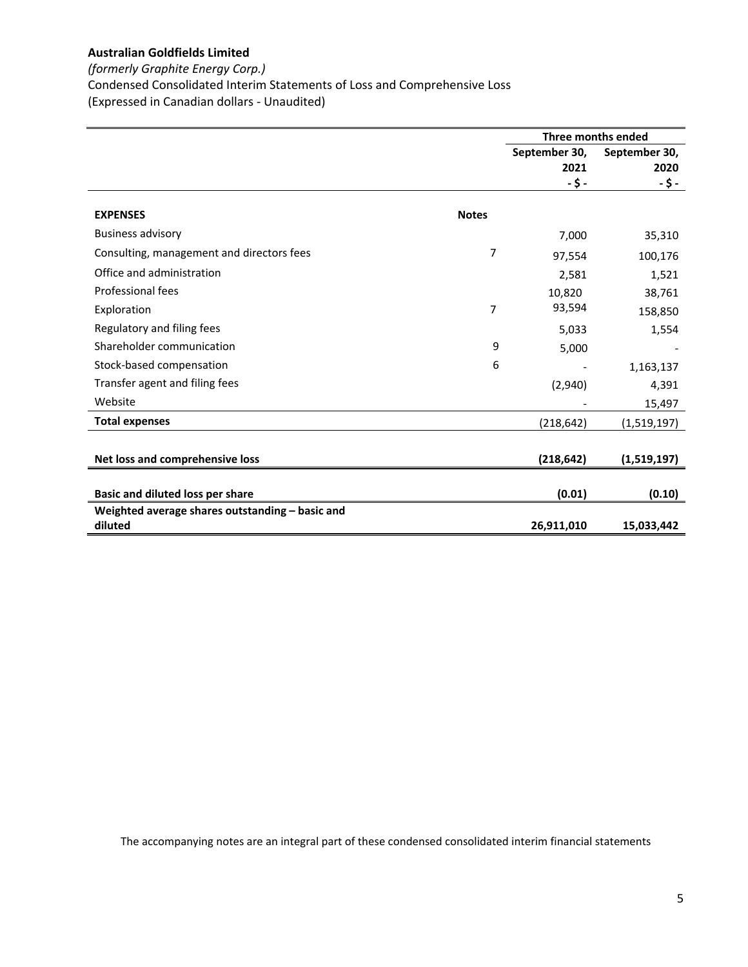# *(formerly Graphite Energy Corp.)*

Condensed Consolidated Interim Statements of Loss and Comprehensive Loss

(Expressed in Canadian dollars ‐ Unaudited)

|                                                            |              | Three months ended |               |  |
|------------------------------------------------------------|--------------|--------------------|---------------|--|
|                                                            |              | September 30,      | September 30, |  |
|                                                            |              | 2021               | 2020          |  |
|                                                            |              | -\$-               | -\$-          |  |
| <b>EXPENSES</b>                                            | <b>Notes</b> |                    |               |  |
| <b>Business advisory</b>                                   |              | 7,000              | 35,310        |  |
| Consulting, management and directors fees                  | 7            | 97,554             | 100,176       |  |
| Office and administration                                  |              | 2,581              | 1,521         |  |
| Professional fees                                          |              | 10,820             | 38,761        |  |
| Exploration                                                | 7            | 93,594             | 158,850       |  |
| Regulatory and filing fees                                 |              | 5,033              | 1,554         |  |
| Shareholder communication                                  | 9            | 5,000              |               |  |
| Stock-based compensation                                   | 6            |                    | 1,163,137     |  |
| Transfer agent and filing fees                             |              | (2,940)            | 4,391         |  |
| Website                                                    |              |                    | 15,497        |  |
| <b>Total expenses</b>                                      |              | (218,642)          | (1,519,197)   |  |
|                                                            |              |                    |               |  |
| Net loss and comprehensive loss                            |              | (218, 642)         | (1,519,197)   |  |
|                                                            |              |                    |               |  |
| Basic and diluted loss per share                           |              | (0.01)             | (0.10)        |  |
| Weighted average shares outstanding - basic and<br>diluted |              |                    |               |  |
|                                                            |              | 26,911,010         | 15,033,442    |  |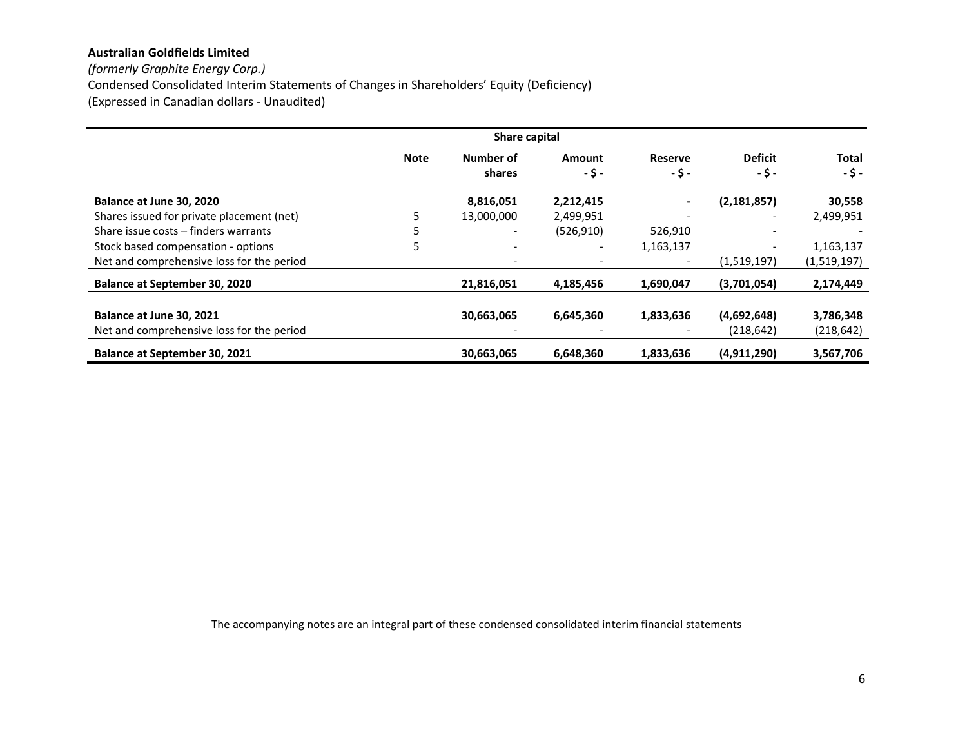*(formerly Graphite Energy Corp.)* Condensed Consolidated Interim Statements of Changes in Shareholders' Equity (Deficiency) (Expressed in Canadian dollars ‐ Unaudited)

|                                           |             | Share capital            |                |                          |                          |                      |
|-------------------------------------------|-------------|--------------------------|----------------|--------------------------|--------------------------|----------------------|
|                                           | <b>Note</b> | Number of<br>shares      | Amount<br>-\$- | <b>Reserve</b><br>-\$-   | <b>Deficit</b><br>-\$-   | <b>Total</b><br>-\$- |
| Balance at June 30, 2020                  |             | 8,816,051                | 2,212,415      | $\blacksquare$           | (2, 181, 857)            | 30,558               |
| Shares issued for private placement (net) |             | 13,000,000               | 2,499,951      | $\overline{\phantom{a}}$ | $\overline{\phantom{a}}$ | 2,499,951            |
| Share issue costs - finders warrants      |             |                          | (526, 910)     | 526,910                  | $\overline{\phantom{a}}$ |                      |
| Stock based compensation - options        | 5           | $\overline{\phantom{0}}$ | -              | 1,163,137                |                          | 1,163,137            |
| Net and comprehensive loss for the period |             |                          |                | $\overline{\phantom{a}}$ | (1,519,197)              | (1,519,197)          |
| <b>Balance at September 30, 2020</b>      |             | 21,816,051               | 4,185,456      | 1,690,047                | (3,701,054)              | 2,174,449            |
| Balance at June 30, 2021                  |             | 30,663,065               | 6,645,360      | 1,833,636                | (4,692,648)              | 3,786,348            |
| Net and comprehensive loss for the period |             |                          |                |                          | (218, 642)               | (218, 642)           |
| Balance at September 30, 2021             |             | 30,663,065               | 6,648,360      | 1,833,636                | (4,911,290)              | 3,567,706            |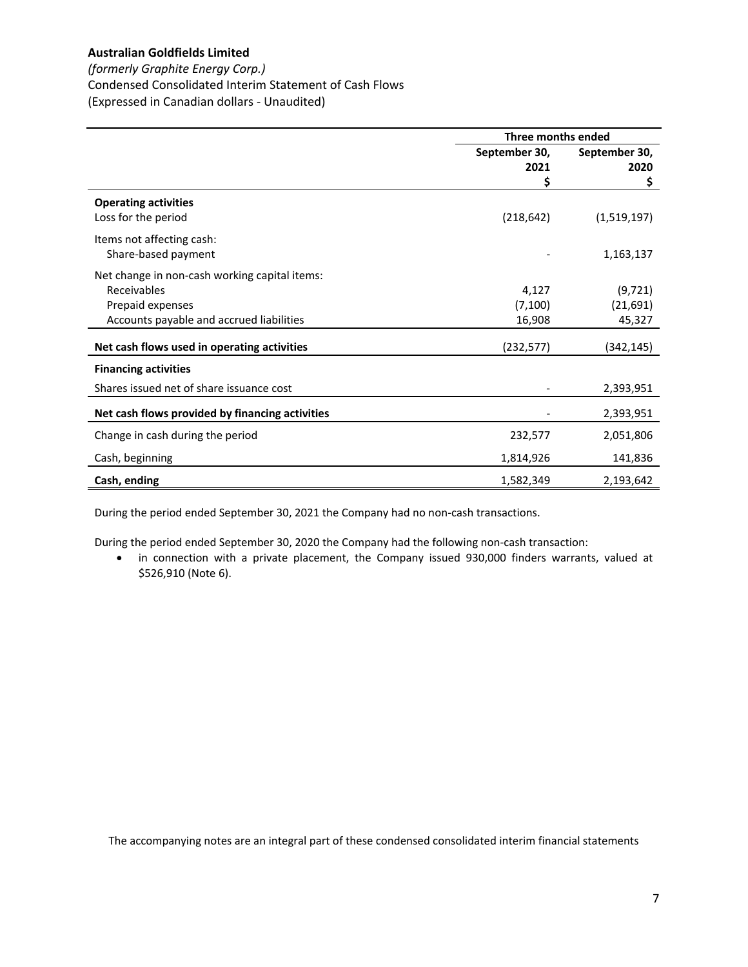# *(formerly Graphite Energy Corp.)*

Condensed Consolidated Interim Statement of Cash Flows

(Expressed in Canadian dollars ‐ Unaudited)

|                                                 | Three months ended |               |  |
|-------------------------------------------------|--------------------|---------------|--|
|                                                 | September 30,      | September 30, |  |
|                                                 | 2021               | 2020          |  |
|                                                 | \$                 | \$            |  |
| <b>Operating activities</b>                     |                    |               |  |
| Loss for the period                             | (218, 642)         | (1,519,197)   |  |
| Items not affecting cash:                       |                    |               |  |
| Share-based payment                             |                    | 1,163,137     |  |
| Net change in non-cash working capital items:   |                    |               |  |
| Receivables                                     | 4,127              | (9, 721)      |  |
| Prepaid expenses                                | (7, 100)           | (21, 691)     |  |
| Accounts payable and accrued liabilities        | 16,908             | 45,327        |  |
| Net cash flows used in operating activities     | (232, 577)         | (342,145)     |  |
|                                                 |                    |               |  |
| <b>Financing activities</b>                     |                    |               |  |
| Shares issued net of share issuance cost        |                    | 2,393,951     |  |
| Net cash flows provided by financing activities |                    | 2,393,951     |  |
| Change in cash during the period                | 232,577            | 2,051,806     |  |
| Cash, beginning                                 | 1,814,926          | 141,836       |  |
| Cash, ending                                    | 1,582,349          | 2,193,642     |  |

During the period ended September 30, 2021 the Company had no non‐cash transactions.

During the period ended September 30, 2020 the Company had the following non‐cash transaction:

 in connection with a private placement, the Company issued 930,000 finders warrants, valued at \$526,910 (Note 6).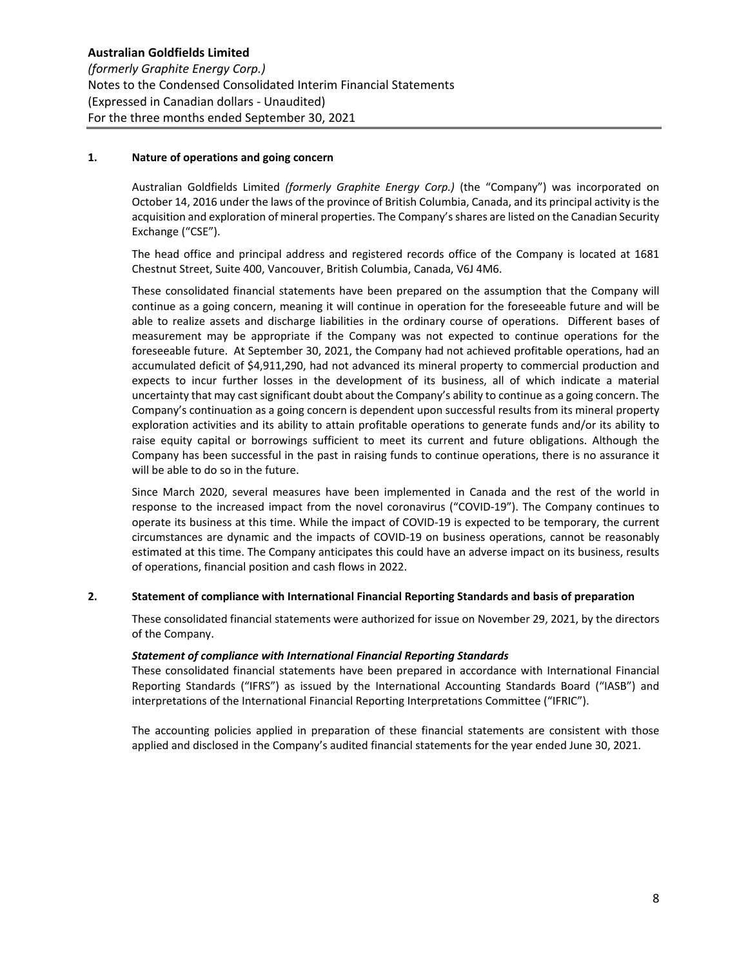# **1. Nature of operations and going concern**

Australian Goldfields Limited *(formerly Graphite Energy Corp.)* (the "Company") was incorporated on October 14, 2016 under the laws of the province of British Columbia, Canada, and its principal activity is the acquisition and exploration of mineral properties. The Company's shares are listed on the Canadian Security Exchange ("CSE").

The head office and principal address and registered records office of the Company is located at 1681 Chestnut Street, Suite 400, Vancouver, British Columbia, Canada, V6J 4M6.

These consolidated financial statements have been prepared on the assumption that the Company will continue as a going concern, meaning it will continue in operation for the foreseeable future and will be able to realize assets and discharge liabilities in the ordinary course of operations. Different bases of measurement may be appropriate if the Company was not expected to continue operations for the foreseeable future. At September 30, 2021, the Company had not achieved profitable operations, had an accumulated deficit of \$4,911,290, had not advanced its mineral property to commercial production and expects to incur further losses in the development of its business, all of which indicate a material uncertainty that may cast significant doubt about the Company's ability to continue as a going concern. The Company's continuation as a going concern is dependent upon successful results from its mineral property exploration activities and its ability to attain profitable operations to generate funds and/or its ability to raise equity capital or borrowings sufficient to meet its current and future obligations. Although the Company has been successful in the past in raising funds to continue operations, there is no assurance it will be able to do so in the future.

Since March 2020, several measures have been implemented in Canada and the rest of the world in response to the increased impact from the novel coronavirus ("COVID‐19"). The Company continues to operate its business at this time. While the impact of COVID‐19 is expected to be temporary, the current circumstances are dynamic and the impacts of COVID‐19 on business operations, cannot be reasonably estimated at this time. The Company anticipates this could have an adverse impact on its business, results of operations, financial position and cash flows in 2022.

# **2. Statement of compliance with International Financial Reporting Standards and basis of preparation**

These consolidated financial statements were authorized for issue on November 29, 2021, by the directors of the Company.

# *Statement of compliance with International Financial Reporting Standards*

These consolidated financial statements have been prepared in accordance with International Financial Reporting Standards ("IFRS") as issued by the International Accounting Standards Board ("IASB") and interpretations of the International Financial Reporting Interpretations Committee ("IFRIC").

The accounting policies applied in preparation of these financial statements are consistent with those applied and disclosed in the Company's audited financial statements for the year ended June 30, 2021.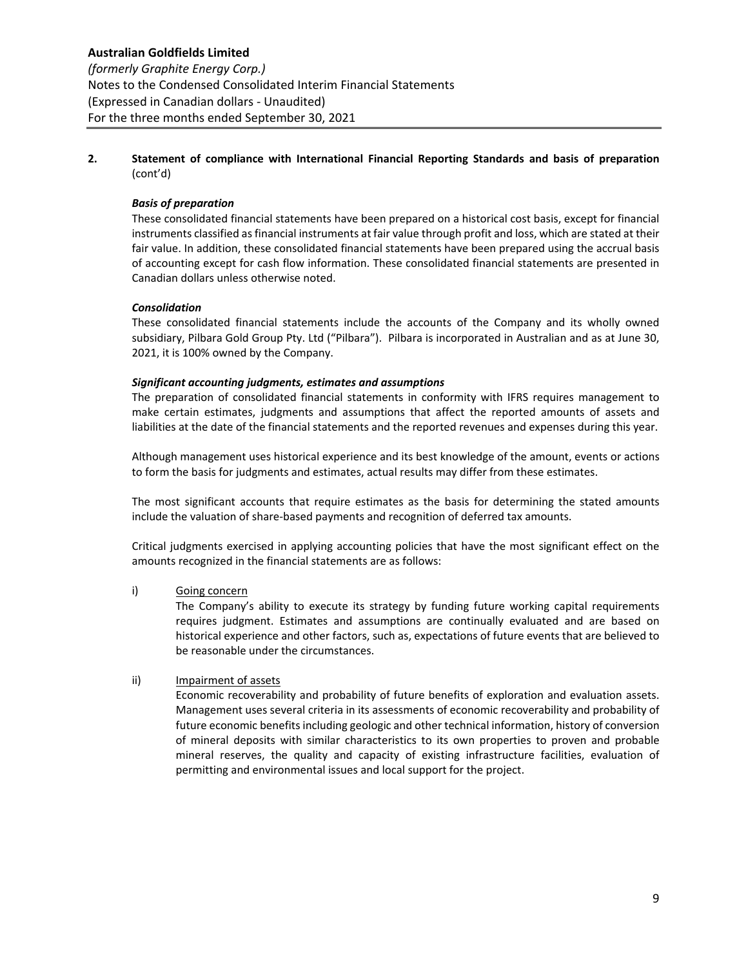# **Australian Goldfields Limited**  *(formerly Graphite Energy Corp.)* Notes to the Condensed Consolidated Interim Financial Statements (Expressed in Canadian dollars ‐ Unaudited) For the three months ended September 30, 2021

**2. Statement of compliance with International Financial Reporting Standards and basis of preparation**  (cont'd)

# *Basis of preparation*

These consolidated financial statements have been prepared on a historical cost basis, except for financial instruments classified as financial instruments at fair value through profit and loss, which are stated at their fair value. In addition, these consolidated financial statements have been prepared using the accrual basis of accounting except for cash flow information. These consolidated financial statements are presented in Canadian dollars unless otherwise noted.

# *Consolidation*

These consolidated financial statements include the accounts of the Company and its wholly owned subsidiary, Pilbara Gold Group Pty. Ltd ("Pilbara"). Pilbara is incorporated in Australian and as at June 30, 2021, it is 100% owned by the Company.

# *Significant accounting judgments, estimates and assumptions*

The preparation of consolidated financial statements in conformity with IFRS requires management to make certain estimates, judgments and assumptions that affect the reported amounts of assets and liabilities at the date of the financial statements and the reported revenues and expenses during this year.

Although management uses historical experience and its best knowledge of the amount, events or actions to form the basis for judgments and estimates, actual results may differ from these estimates.

The most significant accounts that require estimates as the basis for determining the stated amounts include the valuation of share‐based payments and recognition of deferred tax amounts.

Critical judgments exercised in applying accounting policies that have the most significant effect on the amounts recognized in the financial statements are as follows:

# i) Going concern

The Company's ability to execute its strategy by funding future working capital requirements requires judgment. Estimates and assumptions are continually evaluated and are based on historical experience and other factors, such as, expectations of future events that are believed to be reasonable under the circumstances.

# ii) Impairment of assets

Economic recoverability and probability of future benefits of exploration and evaluation assets. Management uses several criteria in its assessments of economic recoverability and probability of future economic benefits including geologic and other technical information, history of conversion of mineral deposits with similar characteristics to its own properties to proven and probable mineral reserves, the quality and capacity of existing infrastructure facilities, evaluation of permitting and environmental issues and local support for the project.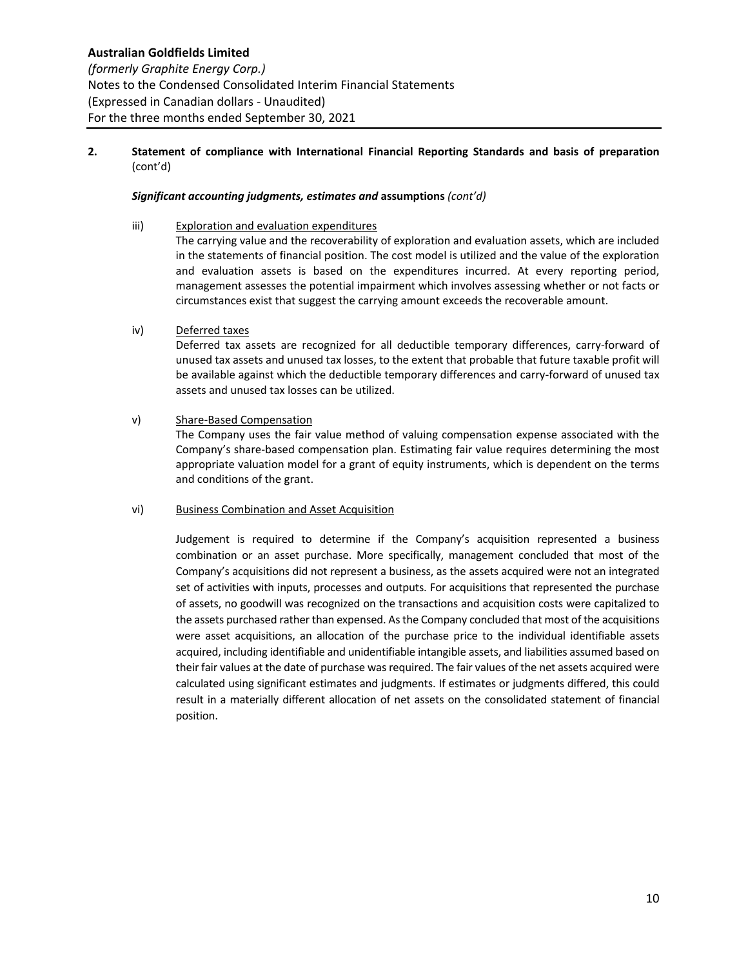# *Significant accounting judgments, estimates and* **assumptions** *(cont'd)*

- iii) Exploration and evaluation expenditures The carrying value and the recoverability of exploration and evaluation assets, which are included in the statements of financial position. The cost model is utilized and the value of the exploration and evaluation assets is based on the expenditures incurred. At every reporting period, management assesses the potential impairment which involves assessing whether or not facts or circumstances exist that suggest the carrying amount exceeds the recoverable amount.
- iv) Deferred taxes

Deferred tax assets are recognized for all deductible temporary differences, carry-forward of unused tax assets and unused tax losses, to the extent that probable that future taxable profit will be available against which the deductible temporary differences and carry‐forward of unused tax assets and unused tax losses can be utilized.

v) Share‐Based Compensation

The Company uses the fair value method of valuing compensation expense associated with the Company's share‐based compensation plan. Estimating fair value requires determining the most appropriate valuation model for a grant of equity instruments, which is dependent on the terms and conditions of the grant.

#### vi) Business Combination and Asset Acquisition

Judgement is required to determine if the Company's acquisition represented a business combination or an asset purchase. More specifically, management concluded that most of the Company's acquisitions did not represent a business, as the assets acquired were not an integrated set of activities with inputs, processes and outputs. For acquisitions that represented the purchase of assets, no goodwill was recognized on the transactions and acquisition costs were capitalized to the assets purchased rather than expensed. As the Company concluded that most of the acquisitions were asset acquisitions, an allocation of the purchase price to the individual identifiable assets acquired, including identifiable and unidentifiable intangible assets, and liabilities assumed based on their fair values at the date of purchase was required. The fair values of the net assets acquired were calculated using significant estimates and judgments. If estimates or judgments differed, this could result in a materially different allocation of net assets on the consolidated statement of financial position.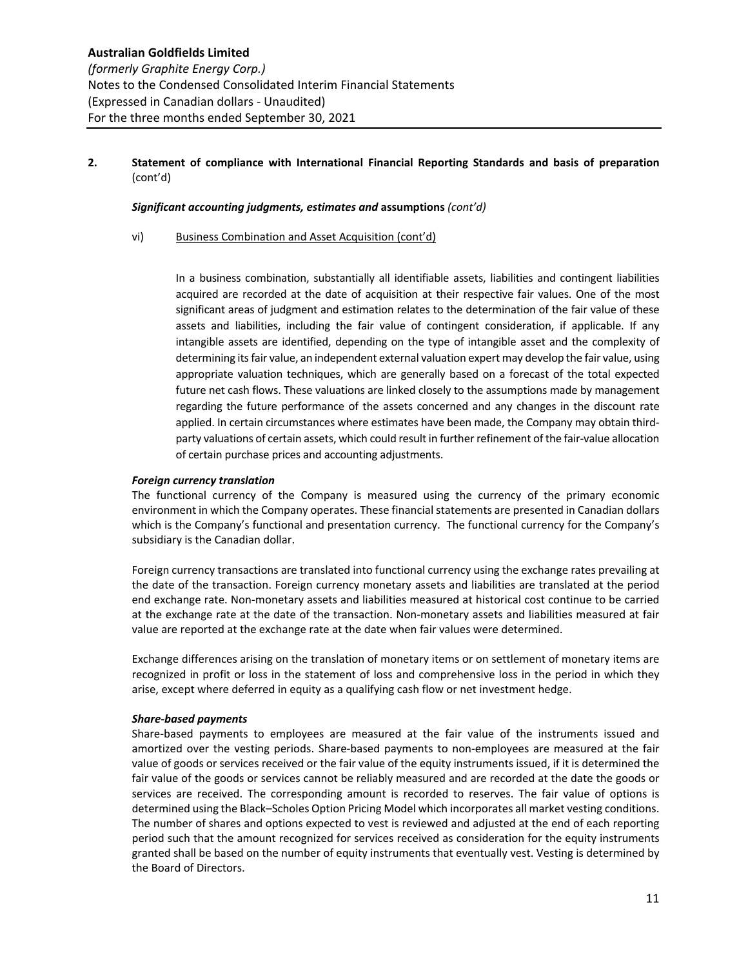# *Significant accounting judgments, estimates and* **assumptions** *(cont'd)*

#### vi) Business Combination and Asset Acquisition (cont'd)

In a business combination, substantially all identifiable assets, liabilities and contingent liabilities acquired are recorded at the date of acquisition at their respective fair values. One of the most significant areas of judgment and estimation relates to the determination of the fair value of these assets and liabilities, including the fair value of contingent consideration, if applicable. If any intangible assets are identified, depending on the type of intangible asset and the complexity of determining its fair value, an independent external valuation expert may develop the fair value, using appropriate valuation techniques, which are generally based on a forecast of the total expected future net cash flows. These valuations are linked closely to the assumptions made by management regarding the future performance of the assets concerned and any changes in the discount rate applied. In certain circumstances where estimates have been made, the Company may obtain thirdparty valuations of certain assets, which could result in further refinement of the fair‐value allocation of certain purchase prices and accounting adjustments.

#### *Foreign currency translation*

The functional currency of the Company is measured using the currency of the primary economic environment in which the Company operates. These financial statements are presented in Canadian dollars which is the Company's functional and presentation currency. The functional currency for the Company's subsidiary is the Canadian dollar.

Foreign currency transactions are translated into functional currency using the exchange rates prevailing at the date of the transaction. Foreign currency monetary assets and liabilities are translated at the period end exchange rate. Non-monetary assets and liabilities measured at historical cost continue to be carried at the exchange rate at the date of the transaction. Non‐monetary assets and liabilities measured at fair value are reported at the exchange rate at the date when fair values were determined.

Exchange differences arising on the translation of monetary items or on settlement of monetary items are recognized in profit or loss in the statement of loss and comprehensive loss in the period in which they arise, except where deferred in equity as a qualifying cash flow or net investment hedge.

#### *Share‐based payments*

Share-based payments to employees are measured at the fair value of the instruments issued and amortized over the vesting periods. Share-based payments to non-employees are measured at the fair value of goods or services received or the fair value of the equity instruments issued, if it is determined the fair value of the goods or services cannot be reliably measured and are recorded at the date the goods or services are received. The corresponding amount is recorded to reserves. The fair value of options is determined using the Black–Scholes Option Pricing Model which incorporates all market vesting conditions. The number of shares and options expected to vest is reviewed and adjusted at the end of each reporting period such that the amount recognized for services received as consideration for the equity instruments granted shall be based on the number of equity instruments that eventually vest. Vesting is determined by the Board of Directors.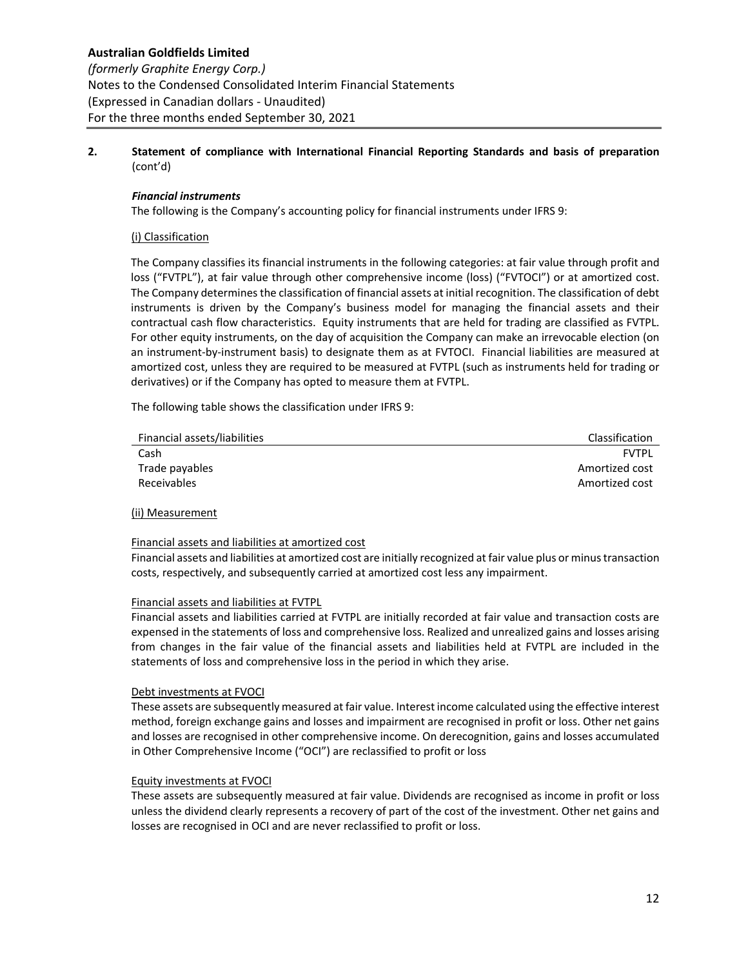# *Financial instruments*

The following is the Company's accounting policy for financial instruments under IFRS 9:

# (i) Classification

The Company classifies its financial instruments in the following categories: at fair value through profit and loss ("FVTPL"), at fair value through other comprehensive income (loss) ("FVTOCI") or at amortized cost. The Company determines the classification of financial assets at initial recognition. The classification of debt instruments is driven by the Company's business model for managing the financial assets and their contractual cash flow characteristics. Equity instruments that are held for trading are classified as FVTPL. For other equity instruments, on the day of acquisition the Company can make an irrevocable election (on an instrument‐by‐instrument basis) to designate them as at FVTOCI. Financial liabilities are measured at amortized cost, unless they are required to be measured at FVTPL (such as instruments held for trading or derivatives) or if the Company has opted to measure them at FVTPL.

The following table shows the classification under IFRS 9:

| Financial assets/liabilities | Classification |
|------------------------------|----------------|
| Cash                         | <b>FVTPI</b>   |
| Trade payables               | Amortized cost |
| Receivables                  | Amortized cost |

#### (ii) Measurement

#### Financial assets and liabilities at amortized cost

Financial assets and liabilities at amortized cost are initially recognized at fair value plus or minus transaction costs, respectively, and subsequently carried at amortized cost less any impairment.

#### Financial assets and liabilities at FVTPL

Financial assets and liabilities carried at FVTPL are initially recorded at fair value and transaction costs are expensed in the statements of loss and comprehensive loss. Realized and unrealized gains and losses arising from changes in the fair value of the financial assets and liabilities held at FVTPL are included in the statements of loss and comprehensive loss in the period in which they arise.

#### Debt investments at FVOCI

These assets are subsequently measured at fair value. Interest income calculated using the effective interest method, foreign exchange gains and losses and impairment are recognised in profit or loss. Other net gains and losses are recognised in other comprehensive income. On derecognition, gains and losses accumulated in Other Comprehensive Income ("OCI") are reclassified to profit or loss

# Equity investments at FVOCI

These assets are subsequently measured at fair value. Dividends are recognised as income in profit or loss unless the dividend clearly represents a recovery of part of the cost of the investment. Other net gains and losses are recognised in OCI and are never reclassified to profit or loss.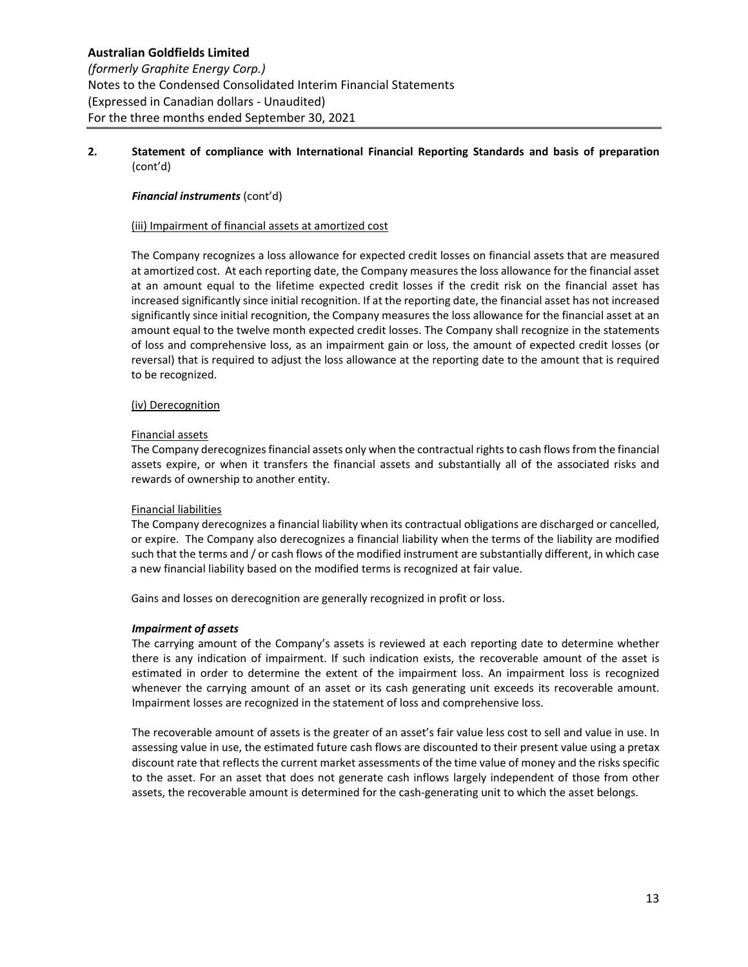# *Financial instruments* (cont'd)

# (iii) Impairment of financial assets at amortized cost

The Company recognizes a loss allowance for expected credit losses on financial assets that are measured at amortized cost. At each reporting date, the Company measures the loss allowance for the financial asset at an amount equal to the lifetime expected credit losses if the credit risk on the financial asset has increased significantly since initial recognition. If at the reporting date, the financial asset has not increased significantly since initial recognition, the Company measures the loss allowance for the financial asset at an amount equal to the twelve month expected credit losses. The Company shall recognize in the statements of loss and comprehensive loss, as an impairment gain or loss, the amount of expected credit losses (or reversal) that is required to adjust the loss allowance at the reporting date to the amount that is required to be recognized.

#### (iv) Derecognition

#### Financial assets

The Company derecognizes financial assets only when the contractual rights to cash flows from the financial assets expire, or when it transfers the financial assets and substantially all of the associated risks and rewards of ownership to another entity.

#### Financial liabilities

The Company derecognizes a financial liability when its contractual obligations are discharged or cancelled, or expire. The Company also derecognizes a financial liability when the terms of the liability are modified such that the terms and / or cash flows of the modified instrument are substantially different, in which case a new financial liability based on the modified terms is recognized at fair value.

Gains and losses on derecognition are generally recognized in profit or loss.

#### *Impairment of assets*

The carrying amount of the Company's assets is reviewed at each reporting date to determine whether there is any indication of impairment. If such indication exists, the recoverable amount of the asset is estimated in order to determine the extent of the impairment loss. An impairment loss is recognized whenever the carrying amount of an asset or its cash generating unit exceeds its recoverable amount. Impairment losses are recognized in the statement of loss and comprehensive loss.

The recoverable amount of assets is the greater of an asset's fair value less cost to sell and value in use. In assessing value in use, the estimated future cash flows are discounted to their present value using a pretax discount rate that reflects the current market assessments of the time value of money and the risks specific to the asset. For an asset that does not generate cash inflows largely independent of those from other assets, the recoverable amount is determined for the cash‐generating unit to which the asset belongs.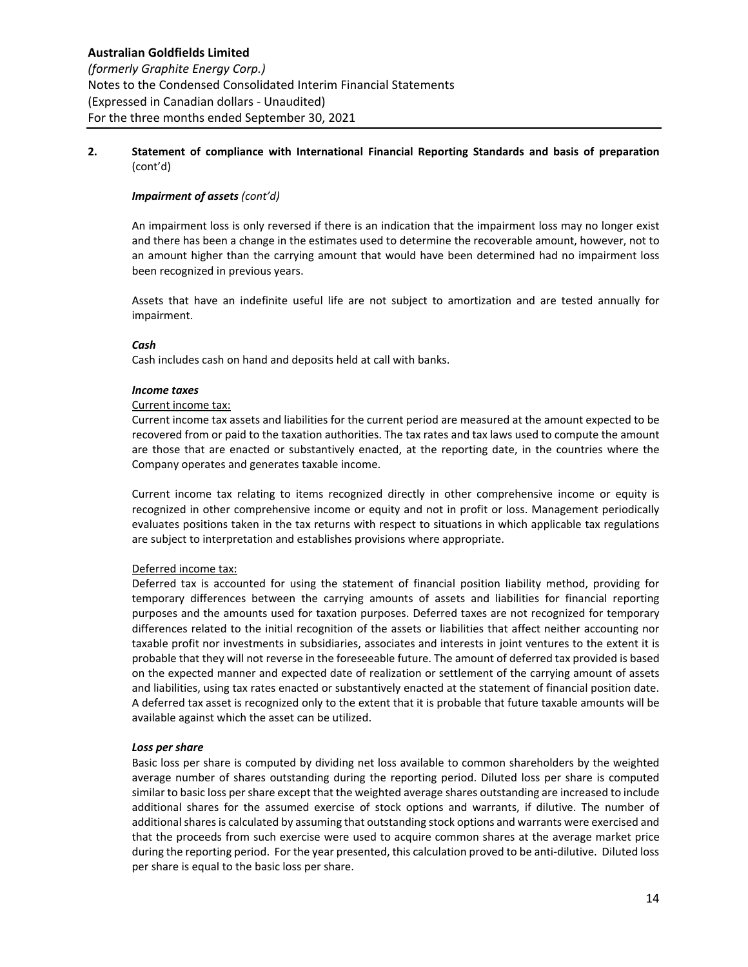# *Impairment of assets (cont'd)*

An impairment loss is only reversed if there is an indication that the impairment loss may no longer exist and there has been a change in the estimates used to determine the recoverable amount, however, not to an amount higher than the carrying amount that would have been determined had no impairment loss been recognized in previous years.

Assets that have an indefinite useful life are not subject to amortization and are tested annually for impairment.

# *Cash*

Cash includes cash on hand and deposits held at call with banks.

#### *Income taxes*

# Current income tax:

Current income tax assets and liabilities for the current period are measured at the amount expected to be recovered from or paid to the taxation authorities. The tax rates and tax laws used to compute the amount are those that are enacted or substantively enacted, at the reporting date, in the countries where the Company operates and generates taxable income.

Current income tax relating to items recognized directly in other comprehensive income or equity is recognized in other comprehensive income or equity and not in profit or loss. Management periodically evaluates positions taken in the tax returns with respect to situations in which applicable tax regulations are subject to interpretation and establishes provisions where appropriate.

# Deferred income tax:

Deferred tax is accounted for using the statement of financial position liability method, providing for temporary differences between the carrying amounts of assets and liabilities for financial reporting purposes and the amounts used for taxation purposes. Deferred taxes are not recognized for temporary differences related to the initial recognition of the assets or liabilities that affect neither accounting nor taxable profit nor investments in subsidiaries, associates and interests in joint ventures to the extent it is probable that they will not reverse in the foreseeable future. The amount of deferred tax provided is based on the expected manner and expected date of realization or settlement of the carrying amount of assets and liabilities, using tax rates enacted or substantively enacted at the statement of financial position date. A deferred tax asset is recognized only to the extent that it is probable that future taxable amounts will be available against which the asset can be utilized.

#### *Loss per share*

Basic loss per share is computed by dividing net loss available to common shareholders by the weighted average number of shares outstanding during the reporting period. Diluted loss per share is computed similar to basic loss per share except that the weighted average shares outstanding are increased to include additional shares for the assumed exercise of stock options and warrants, if dilutive. The number of additional shares is calculated by assuming that outstanding stock options and warrants were exercised and that the proceeds from such exercise were used to acquire common shares at the average market price during the reporting period. For the year presented, this calculation proved to be anti‐dilutive. Diluted loss per share is equal to the basic loss per share.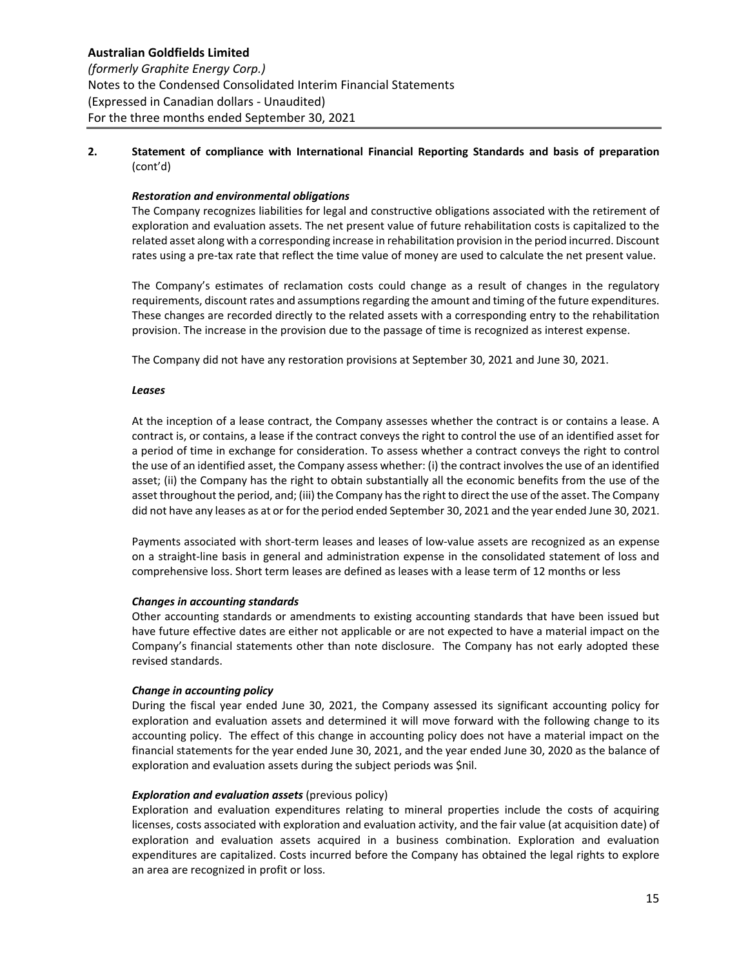#### *Restoration and environmental obligations*

The Company recognizes liabilities for legal and constructive obligations associated with the retirement of exploration and evaluation assets. The net present value of future rehabilitation costs is capitalized to the related asset along with a corresponding increase in rehabilitation provision in the period incurred. Discount rates using a pre‐tax rate that reflect the time value of money are used to calculate the net present value.

The Company's estimates of reclamation costs could change as a result of changes in the regulatory requirements, discount rates and assumptions regarding the amount and timing of the future expenditures. These changes are recorded directly to the related assets with a corresponding entry to the rehabilitation provision. The increase in the provision due to the passage of time is recognized as interest expense.

The Company did not have any restoration provisions at September 30, 2021 and June 30, 2021.

#### *Leases*

At the inception of a lease contract, the Company assesses whether the contract is or contains a lease. A contract is, or contains, a lease if the contract conveys the right to control the use of an identified asset for a period of time in exchange for consideration. To assess whether a contract conveys the right to control the use of an identified asset, the Company assess whether: (i) the contract involves the use of an identified asset; (ii) the Company has the right to obtain substantially all the economic benefits from the use of the asset throughout the period, and; (iii) the Company has the right to direct the use of the asset. The Company did not have any leases as at or for the period ended September 30, 2021 and the year ended June 30, 2021.

Payments associated with short‐term leases and leases of low‐value assets are recognized as an expense on a straight‐line basis in general and administration expense in the consolidated statement of loss and comprehensive loss. Short term leases are defined as leases with a lease term of 12 months or less

#### *Changes in accounting standards*

Other accounting standards or amendments to existing accounting standards that have been issued but have future effective dates are either not applicable or are not expected to have a material impact on the Company's financial statements other than note disclosure. The Company has not early adopted these revised standards.

#### *Change in accounting policy*

During the fiscal year ended June 30, 2021, the Company assessed its significant accounting policy for exploration and evaluation assets and determined it will move forward with the following change to its accounting policy. The effect of this change in accounting policy does not have a material impact on the financial statements for the year ended June 30, 2021, and the year ended June 30, 2020 as the balance of exploration and evaluation assets during the subject periods was \$nil.

#### *Exploration and evaluation assets* (previous policy)

Exploration and evaluation expenditures relating to mineral properties include the costs of acquiring licenses, costs associated with exploration and evaluation activity, and the fair value (at acquisition date) of exploration and evaluation assets acquired in a business combination. Exploration and evaluation expenditures are capitalized. Costs incurred before the Company has obtained the legal rights to explore an area are recognized in profit or loss.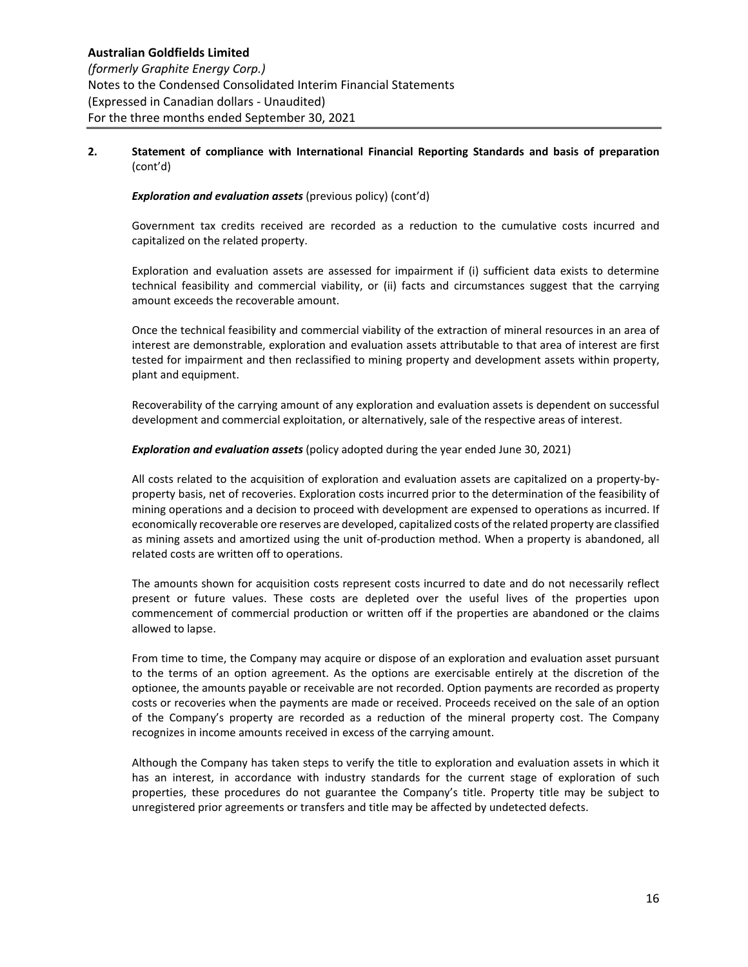# *Exploration and evaluation assets* (previous policy) (cont'd)

Government tax credits received are recorded as a reduction to the cumulative costs incurred and capitalized on the related property.

Exploration and evaluation assets are assessed for impairment if (i) sufficient data exists to determine technical feasibility and commercial viability, or (ii) facts and circumstances suggest that the carrying amount exceeds the recoverable amount.

Once the technical feasibility and commercial viability of the extraction of mineral resources in an area of interest are demonstrable, exploration and evaluation assets attributable to that area of interest are first tested for impairment and then reclassified to mining property and development assets within property, plant and equipment.

Recoverability of the carrying amount of any exploration and evaluation assets is dependent on successful development and commercial exploitation, or alternatively, sale of the respective areas of interest.

# *Exploration and evaluation assets* (policy adopted during the year ended June 30, 2021)

All costs related to the acquisition of exploration and evaluation assets are capitalized on a property‐by‐ property basis, net of recoveries. Exploration costs incurred prior to the determination of the feasibility of mining operations and a decision to proceed with development are expensed to operations as incurred. If economically recoverable ore reserves are developed, capitalized costs of the related property are classified as mining assets and amortized using the unit of‐production method. When a property is abandoned, all related costs are written off to operations.

The amounts shown for acquisition costs represent costs incurred to date and do not necessarily reflect present or future values. These costs are depleted over the useful lives of the properties upon commencement of commercial production or written off if the properties are abandoned or the claims allowed to lapse.

From time to time, the Company may acquire or dispose of an exploration and evaluation asset pursuant to the terms of an option agreement. As the options are exercisable entirely at the discretion of the optionee, the amounts payable or receivable are not recorded. Option payments are recorded as property costs or recoveries when the payments are made or received. Proceeds received on the sale of an option of the Company's property are recorded as a reduction of the mineral property cost. The Company recognizes in income amounts received in excess of the carrying amount.

Although the Company has taken steps to verify the title to exploration and evaluation assets in which it has an interest, in accordance with industry standards for the current stage of exploration of such properties, these procedures do not guarantee the Company's title. Property title may be subject to unregistered prior agreements or transfers and title may be affected by undetected defects.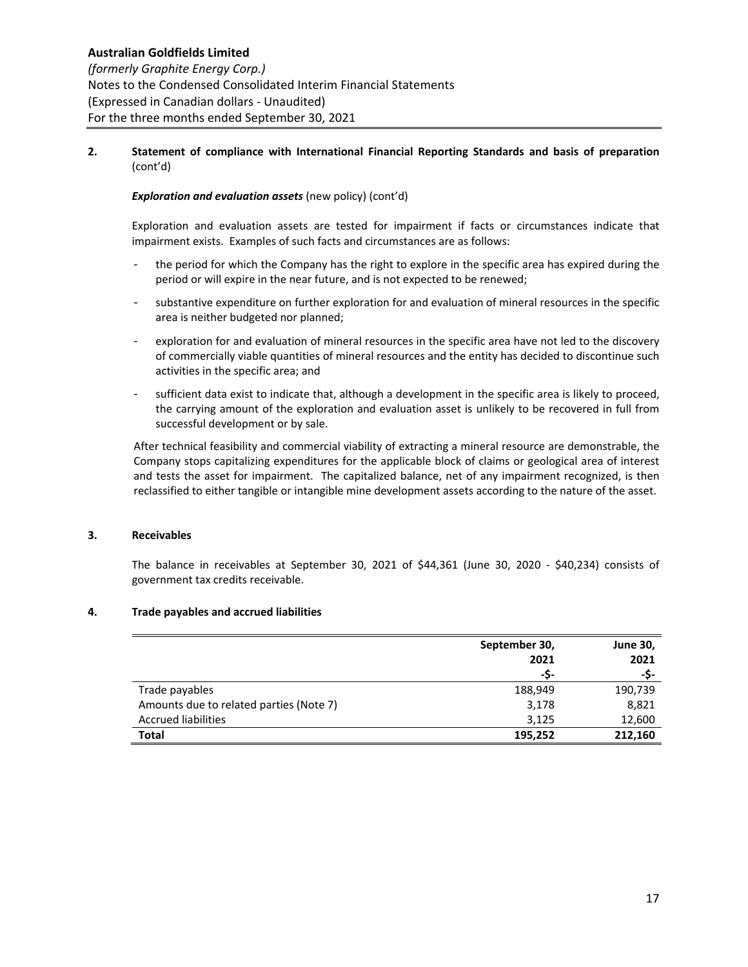# *Exploration and evaluation assets* (new policy) (cont'd)

Exploration and evaluation assets are tested for impairment if facts or circumstances indicate that impairment exists. Examples of such facts and circumstances are as follows:

- the period for which the Company has the right to explore in the specific area has expired during the period or will expire in the near future, and is not expected to be renewed;
- substantive expenditure on further exploration for and evaluation of mineral resources in the specific area is neither budgeted nor planned;
- ‐ exploration for and evaluation of mineral resources in the specific area have not led to the discovery of commercially viable quantities of mineral resources and the entity has decided to discontinue such activities in the specific area; and
- sufficient data exist to indicate that, although a development in the specific area is likely to proceed, the carrying amount of the exploration and evaluation asset is unlikely to be recovered in full from successful development or by sale.

After technical feasibility and commercial viability of extracting a mineral resource are demonstrable, the Company stops capitalizing expenditures for the applicable block of claims or geological area of interest and tests the asset for impairment. The capitalized balance, net of any impairment recognized, is then reclassified to either tangible or intangible mine development assets according to the nature of the asset.

#### **3. Receivables**

The balance in receivables at September 30, 2021 of \$44,361 (June 30, 2020 - \$40,234) consists of government tax credits receivable.

#### **4. Trade payables and accrued liabilities**

|                                         | September 30, | <b>June 30,</b> |
|-----------------------------------------|---------------|-----------------|
|                                         | 2021          | 2021            |
|                                         | -S-           | -S-             |
| Trade payables                          | 188,949       | 190,739         |
| Amounts due to related parties (Note 7) | 3,178         | 8,821           |
| <b>Accrued liabilities</b>              | 3,125         | 12,600          |
| <b>Total</b>                            | 195.252       | 212.160         |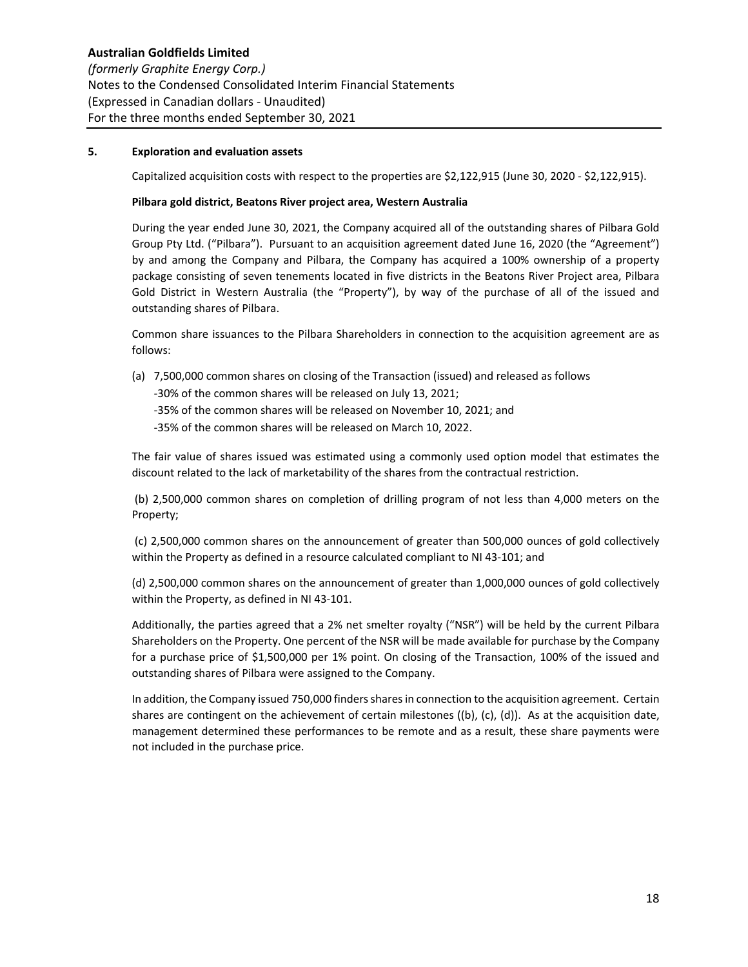# **5. Exploration and evaluation assets**

Capitalized acquisition costs with respect to the properties are \$2,122,915 (June 30, 2020 ‐ \$2,122,915).

#### **Pilbara gold district, Beatons River project area, Western Australia**

During the year ended June 30, 2021, the Company acquired all of the outstanding shares of Pilbara Gold Group Pty Ltd. ("Pilbara"). Pursuant to an acquisition agreement dated June 16, 2020 (the "Agreement") by and among the Company and Pilbara, the Company has acquired a 100% ownership of a property package consisting of seven tenements located in five districts in the Beatons River Project area, Pilbara Gold District in Western Australia (the "Property"), by way of the purchase of all of the issued and outstanding shares of Pilbara.

Common share issuances to the Pilbara Shareholders in connection to the acquisition agreement are as follows:

(a) 7,500,000 common shares on closing of the Transaction (issued) and released as follows

‐30% of the common shares will be released on July 13, 2021;

‐35% of the common shares will be released on November 10, 2021; and

‐35% of the common shares will be released on March 10, 2022.

The fair value of shares issued was estimated using a commonly used option model that estimates the discount related to the lack of marketability of the shares from the contractual restriction.

 (b) 2,500,000 common shares on completion of drilling program of not less than 4,000 meters on the Property;

(c) 2,500,000 common shares on the announcement of greater than 500,000 ounces of gold collectively within the Property as defined in a resource calculated compliant to NI 43-101; and

(d) 2,500,000 common shares on the announcement of greater than 1,000,000 ounces of gold collectively within the Property, as defined in NI 43‐101.

Additionally, the parties agreed that a 2% net smelter royalty ("NSR") will be held by the current Pilbara Shareholders on the Property. One percent of the NSR will be made available for purchase by the Company for a purchase price of \$1,500,000 per 1% point. On closing of the Transaction, 100% of the issued and outstanding shares of Pilbara were assigned to the Company.

In addition, the Company issued 750,000 finders shares in connection to the acquisition agreement. Certain shares are contingent on the achievement of certain milestones ((b), (c), (d)). As at the acquisition date, management determined these performances to be remote and as a result, these share payments were not included in the purchase price.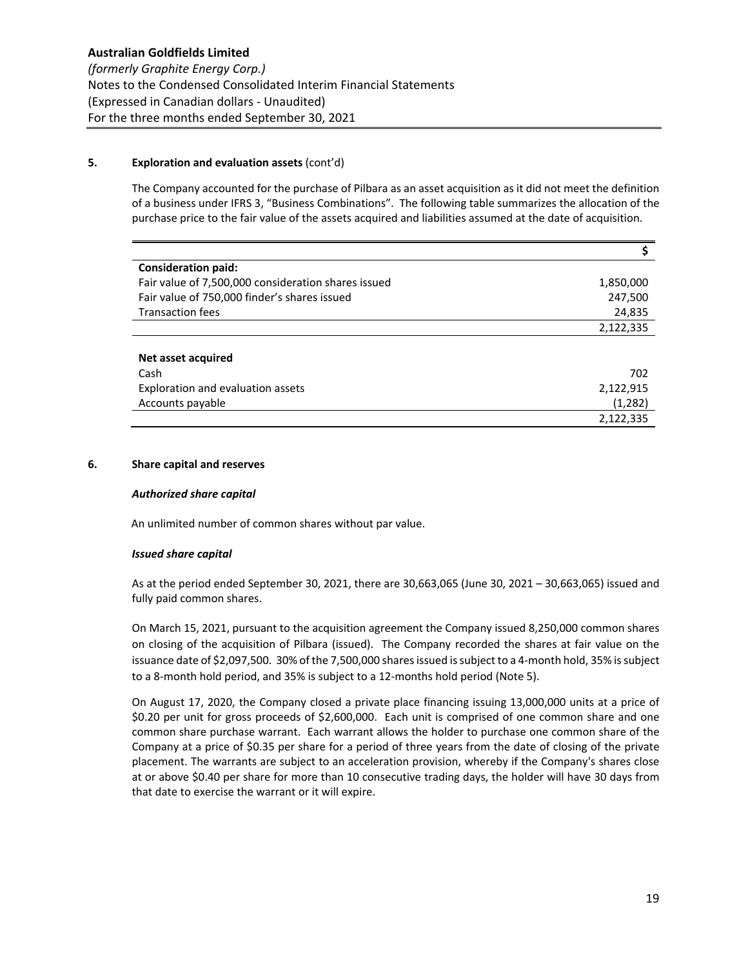# **5. Exploration and evaluation assets** (cont'd)

The Company accounted for the purchase of Pilbara as an asset acquisition as it did not meet the definition of a business under IFRS 3, "Business Combinations". The following table summarizes the allocation of the purchase price to the fair value of the assets acquired and liabilities assumed at the date of acquisition.

| <b>Consideration paid:</b>                          |           |
|-----------------------------------------------------|-----------|
| Fair value of 7,500,000 consideration shares issued | 1,850,000 |
| Fair value of 750,000 finder's shares issued        | 247,500   |
| <b>Transaction fees</b>                             | 24,835    |
|                                                     | 2,122,335 |
|                                                     |           |
| Net asset acquired                                  |           |
| Cash                                                | 702       |
| Exploration and evaluation assets                   | 2,122,915 |
| Accounts payable                                    | (1,282)   |
|                                                     | 2,122,335 |

# **6. Share capital and reserves**

#### *Authorized share capital*

An unlimited number of common shares without par value.

#### *Issued share capital*

As at the period ended September 30, 2021, there are 30,663,065 (June 30, 2021 – 30,663,065) issued and fully paid common shares.

On March 15, 2021, pursuant to the acquisition agreement the Company issued 8,250,000 common shares on closing of the acquisition of Pilbara (issued). The Company recorded the shares at fair value on the issuance date of \$2,097,500. 30% of the 7,500,000 shares issued is subject to a 4‐month hold, 35% is subject to a 8‐month hold period, and 35% is subject to a 12‐months hold period (Note 5).

On August 17, 2020, the Company closed a private place financing issuing 13,000,000 units at a price of \$0.20 per unit for gross proceeds of \$2,600,000. Each unit is comprised of one common share and one common share purchase warrant. Each warrant allows the holder to purchase one common share of the Company at a price of \$0.35 per share for a period of three years from the date of closing of the private placement. The warrants are subject to an acceleration provision, whereby if the Company's shares close at or above \$0.40 per share for more than 10 consecutive trading days, the holder will have 30 days from that date to exercise the warrant or it will expire.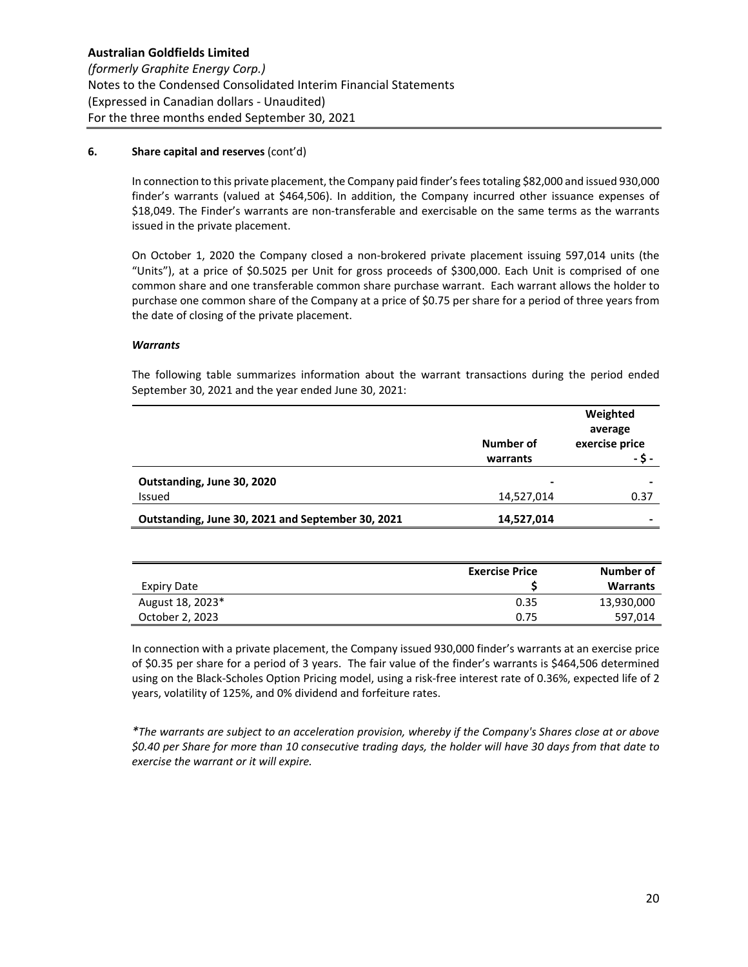# **6. Share capital and reserves** (cont'd)

In connection to this private placement, the Company paid finder's fees totaling \$82,000 and issued 930,000 finder's warrants (valued at \$464,506). In addition, the Company incurred other issuance expenses of \$18,049. The Finder's warrants are non-transferable and exercisable on the same terms as the warrants issued in the private placement.

On October 1, 2020 the Company closed a non‐brokered private placement issuing 597,014 units (the "Units"), at a price of \$0.5025 per Unit for gross proceeds of \$300,000. Each Unit is comprised of one common share and one transferable common share purchase warrant. Each warrant allows the holder to purchase one common share of the Company at a price of \$0.75 per share for a period of three years from the date of closing of the private placement.

#### *Warrants*

The following table summarizes information about the warrant transactions during the period ended September 30, 2021 and the year ended June 30, 2021:

|                                                   |            | Weighted<br>average |
|---------------------------------------------------|------------|---------------------|
|                                                   | Number of  | exercise price      |
|                                                   | warrants   |                     |
| Outstanding, June 30, 2020                        | -          |                     |
| Issued                                            | 14,527,014 | 0.37                |
| Outstanding, June 30, 2021 and September 30, 2021 | 14,527,014 |                     |

|                  | <b>Exercise Price</b> | Number of       |
|------------------|-----------------------|-----------------|
| Expiry Date      |                       | <b>Warrants</b> |
| August 18, 2023* | 0.35                  | 13,930,000      |
| October 2, 2023  | 0.75                  | 597,014         |

In connection with a private placement, the Company issued 930,000 finder's warrants at an exercise price of \$0.35 per share for a period of 3 years. The fair value of the finder's warrants is \$464,506 determined using on the Black‐Scholes Option Pricing model, using a risk‐free interest rate of 0.36%, expected life of 2 years, volatility of 125%, and 0% dividend and forfeiture rates.

*\*The warrants are subject to an acceleration provision, whereby if the Company's Shares close at or above \$0.40 per Share for more than 10 consecutive trading days, the holder will have 30 days from that date to exercise the warrant or it will expire.*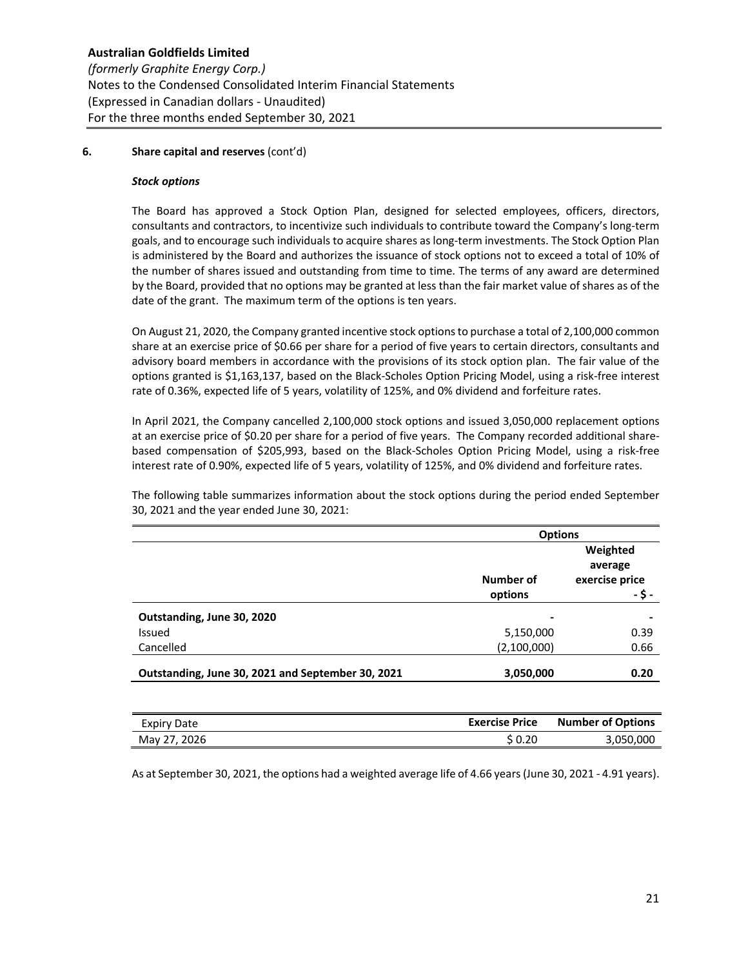# **6. Share capital and reserves** (cont'd)

#### *Stock options*

The Board has approved a Stock Option Plan, designed for selected employees, officers, directors, consultants and contractors, to incentivize such individuals to contribute toward the Company's long‐term goals, and to encourage such individuals to acquire shares as long‐term investments. The Stock Option Plan is administered by the Board and authorizes the issuance of stock options not to exceed a total of 10% of the number of shares issued and outstanding from time to time. The terms of any award are determined by the Board, provided that no options may be granted at less than the fair market value of shares as of the date of the grant. The maximum term of the options is ten years.

On August 21, 2020, the Company granted incentive stock options to purchase a total of 2,100,000 common share at an exercise price of \$0.66 per share for a period of five years to certain directors, consultants and advisory board members in accordance with the provisions of its stock option plan. The fair value of the options granted is \$1,163,137, based on the Black‐Scholes Option Pricing Model, using a risk‐free interest rate of 0.36%, expected life of 5 years, volatility of 125%, and 0% dividend and forfeiture rates.

In April 2021, the Company cancelled 2,100,000 stock options and issued 3,050,000 replacement options at an exercise price of \$0.20 per share for a period of five years. The Company recorded additional sharebased compensation of \$205,993, based on the Black‐Scholes Option Pricing Model, using a risk‐free interest rate of 0.90%, expected life of 5 years, volatility of 125%, and 0% dividend and forfeiture rates.

The following table summarizes information about the stock options during the period ended September 30, 2021 and the year ended June 30, 2021:

|                                                   | <b>Options</b> |                |  |
|---------------------------------------------------|----------------|----------------|--|
|                                                   |                | Weighted       |  |
|                                                   |                | average        |  |
|                                                   | Number of      | exercise price |  |
|                                                   | options        | - \$ -         |  |
| Outstanding, June 30, 2020                        | -              |                |  |
| Issued                                            | 5,150,000      | 0.39           |  |
| Cancelled                                         | (2,100,000)    | 0.66           |  |
|                                                   |                |                |  |
| Outstanding, June 30, 2021 and September 30, 2021 | 3,050,000      | 0.20           |  |

| Expiry Date  | <b>Exercise Price</b> | <b>Number of Options</b> |
|--------------|-----------------------|--------------------------|
| May 27, 2026 | \$ 0.20               | 3,050,000                |

As at September 30, 2021, the options had a weighted average life of 4.66 years (June 30, 2021 ‐ 4.91 years).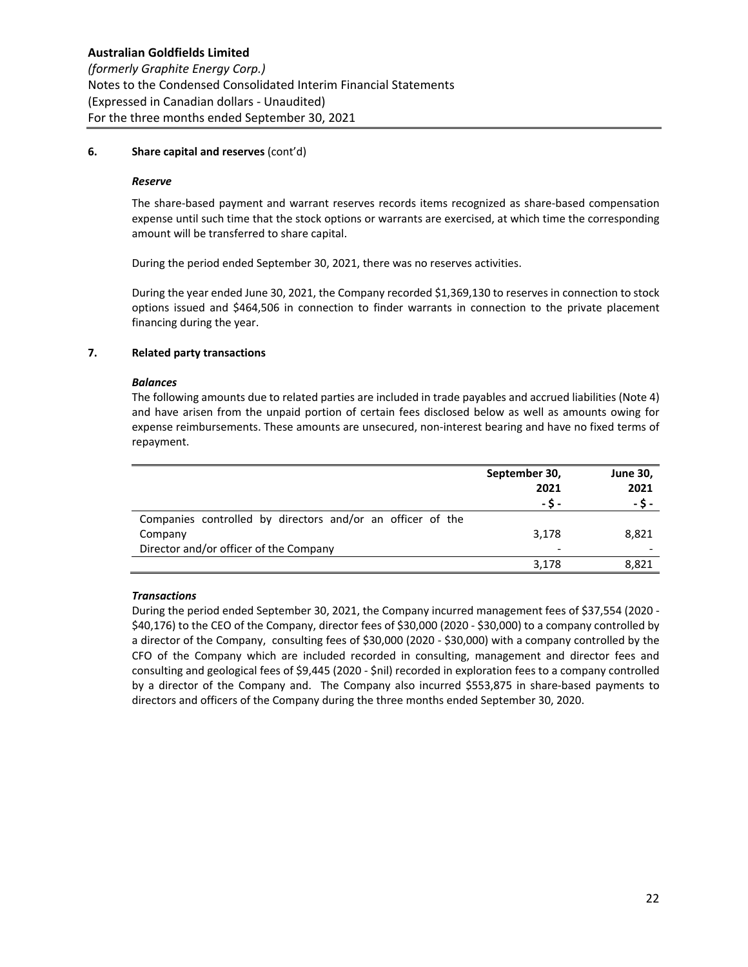# **6. Share capital and reserves** (cont'd)

#### *Reserve*

The share-based payment and warrant reserves records items recognized as share-based compensation expense until such time that the stock options or warrants are exercised, at which time the corresponding amount will be transferred to share capital.

During the period ended September 30, 2021, there was no reserves activities.

During the year ended June 30, 2021, the Company recorded \$1,369,130 to reserves in connection to stock options issued and \$464,506 in connection to finder warrants in connection to the private placement financing during the year.

# **7. Related party transactions**

# *Balances*

The following amounts due to related parties are included in trade payables and accrued liabilities (Note 4) and have arisen from the unpaid portion of certain fees disclosed below as well as amounts owing for expense reimbursements. These amounts are unsecured, non‐interest bearing and have no fixed terms of repayment.

|                                                            | September 30,<br>2021<br>- S - | <b>June 30,</b><br>2021<br>- \$ - |
|------------------------------------------------------------|--------------------------------|-----------------------------------|
| Companies controlled by directors and/or an officer of the |                                |                                   |
| Company                                                    | 3,178                          | 8,821                             |
| Director and/or officer of the Company                     | $\overline{\phantom{a}}$       |                                   |
|                                                            | 3,178                          | 8,821                             |

# *Transactions*

During the period ended September 30, 2021, the Company incurred management fees of \$37,554 (2020 ‐ \$40,176) to the CEO of the Company, director fees of \$30,000 (2020 ‐ \$30,000) to a company controlled by a director of the Company, consulting fees of \$30,000 (2020 ‐ \$30,000) with a company controlled by the CFO of the Company which are included recorded in consulting, management and director fees and consulting and geological fees of \$9,445 (2020 ‐ \$nil) recorded in exploration fees to a company controlled by a director of the Company and. The Company also incurred \$553,875 in share-based payments to directors and officers of the Company during the three months ended September 30, 2020.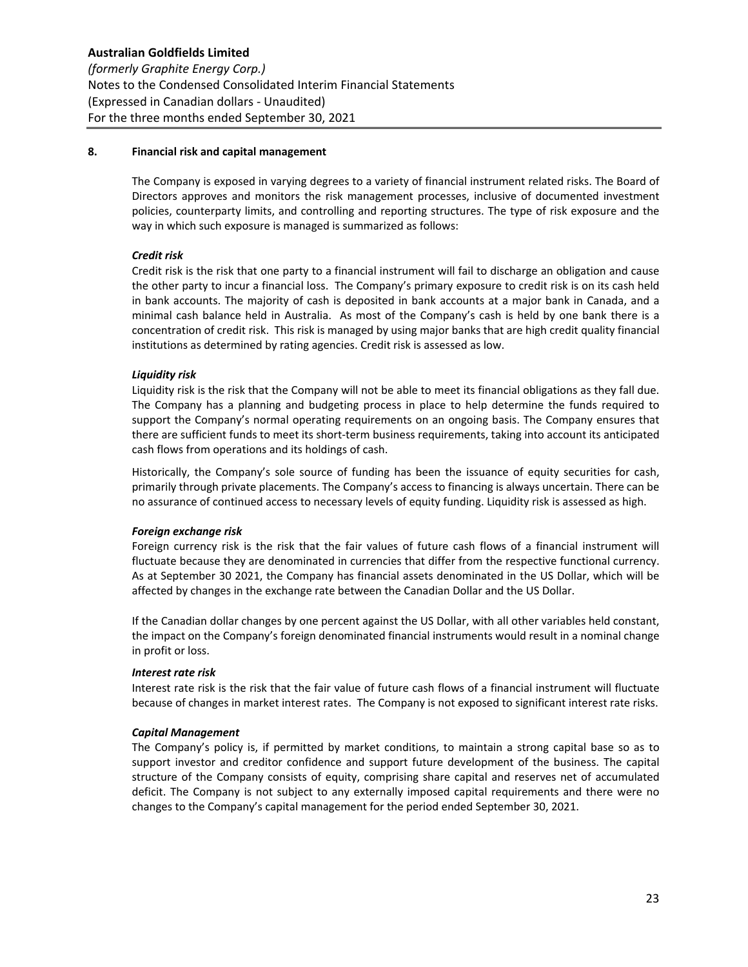# **8. Financial risk and capital management**

The Company is exposed in varying degrees to a variety of financial instrument related risks. The Board of Directors approves and monitors the risk management processes, inclusive of documented investment policies, counterparty limits, and controlling and reporting structures. The type of risk exposure and the way in which such exposure is managed is summarized as follows:

# *Credit risk*

Credit risk is the risk that one party to a financial instrument will fail to discharge an obligation and cause the other party to incur a financial loss. The Company's primary exposure to credit risk is on its cash held in bank accounts. The majority of cash is deposited in bank accounts at a major bank in Canada, and a minimal cash balance held in Australia. As most of the Company's cash is held by one bank there is a concentration of credit risk. This risk is managed by using major banks that are high credit quality financial institutions as determined by rating agencies. Credit risk is assessed as low.

# *Liquidity risk*

Liquidity risk is the risk that the Company will not be able to meet its financial obligations as they fall due. The Company has a planning and budgeting process in place to help determine the funds required to support the Company's normal operating requirements on an ongoing basis. The Company ensures that there are sufficient funds to meet its short‐term business requirements, taking into account its anticipated cash flows from operations and its holdings of cash.

Historically, the Company's sole source of funding has been the issuance of equity securities for cash, primarily through private placements. The Company's access to financing is always uncertain. There can be no assurance of continued access to necessary levels of equity funding. Liquidity risk is assessed as high.

#### *Foreign exchange risk*

Foreign currency risk is the risk that the fair values of future cash flows of a financial instrument will fluctuate because they are denominated in currencies that differ from the respective functional currency. As at September 30 2021, the Company has financial assets denominated in the US Dollar, which will be affected by changes in the exchange rate between the Canadian Dollar and the US Dollar.

If the Canadian dollar changes by one percent against the US Dollar, with all other variables held constant, the impact on the Company's foreign denominated financial instruments would result in a nominal change in profit or loss.

#### *Interest rate risk*

Interest rate risk is the risk that the fair value of future cash flows of a financial instrument will fluctuate because of changes in market interest rates. The Company is not exposed to significant interest rate risks.

# *Capital Management*

The Company's policy is, if permitted by market conditions, to maintain a strong capital base so as to support investor and creditor confidence and support future development of the business. The capital structure of the Company consists of equity, comprising share capital and reserves net of accumulated deficit. The Company is not subject to any externally imposed capital requirements and there were no changes to the Company's capital management for the period ended September 30, 2021.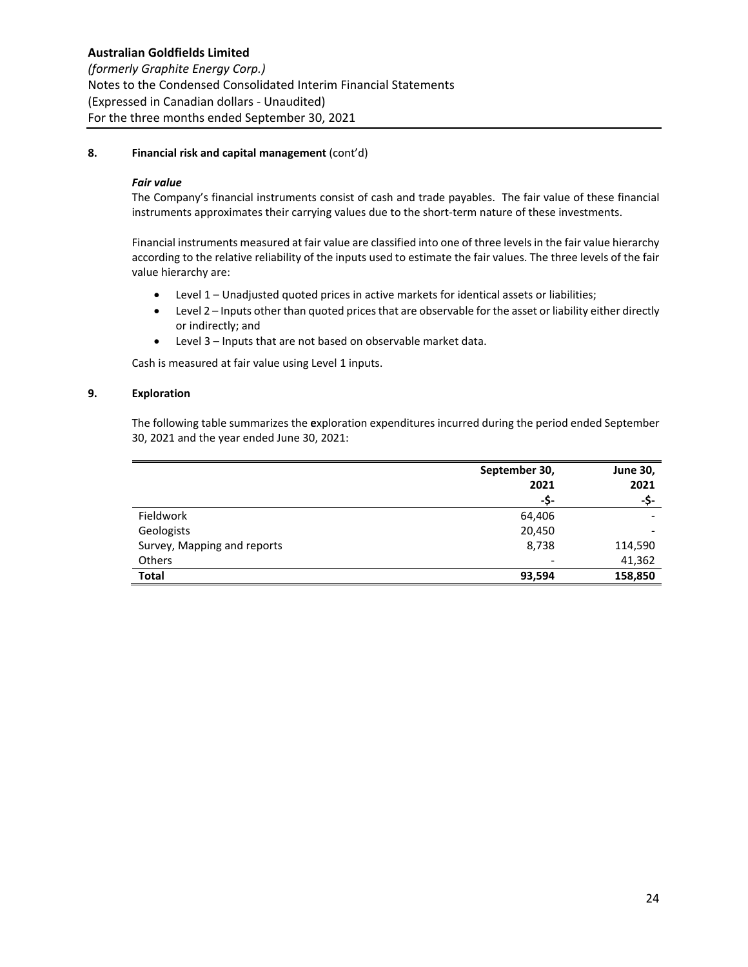*(formerly Graphite Energy Corp.)* Notes to the Condensed Consolidated Interim Financial Statements (Expressed in Canadian dollars ‐ Unaudited) For the three months ended September 30, 2021

# **8. Financial risk and capital management** (cont'd)

# *Fair value*

The Company's financial instruments consist of cash and trade payables. The fair value of these financial instruments approximates their carrying values due to the short-term nature of these investments.

Financial instruments measured at fair value are classified into one of three levels in the fair value hierarchy according to the relative reliability of the inputs used to estimate the fair values. The three levels of the fair value hierarchy are:

- Level 1 Unadjusted quoted prices in active markets for identical assets or liabilities;
- Level 2 Inputs other than quoted prices that are observable for the asset or liability either directly or indirectly; and
- Level 3 Inputs that are not based on observable market data.

Cash is measured at fair value using Level 1 inputs.

# **9. Exploration**

 The following table summarizes the **e**xploration expenditures incurred during the period ended September 30, 2021 and the year ended June 30, 2021:

|                             | September 30,<br>2021<br>-\$- | <b>June 30,</b><br>2021<br>-\$- |
|-----------------------------|-------------------------------|---------------------------------|
|                             |                               |                                 |
|                             |                               |                                 |
| Fieldwork                   | 64,406                        |                                 |
| Geologists                  | 20,450                        | -                               |
| Survey, Mapping and reports | 8,738                         | 114,590                         |
| <b>Others</b>               | $\overline{\phantom{a}}$      | 41,362                          |
| <b>Total</b>                | 93,594                        | 158,850                         |